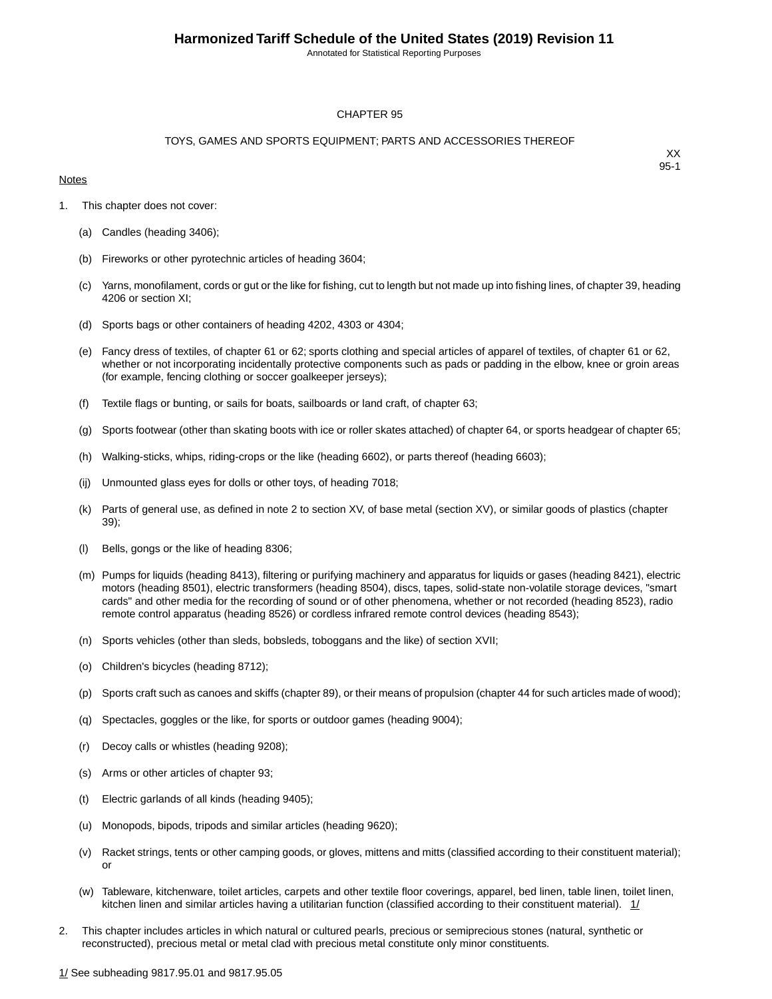Annotated for Statistical Reporting Purposes

#### CHAPTER 95

#### TOYS, GAMES AND SPORTS EQUIPMENT; PARTS AND ACCESSORIES THEREOF

#### **Notes**

- 1. This chapter does not cover:
	- (a) Candles (heading 3406);
	- (b) Fireworks or other pyrotechnic articles of heading 3604;
	- (c) Yarns, monofilament, cords or gut or the like for fishing, cut to length but not made up into fishing lines, of chapter 39, heading 4206 or section XI;
	- (d) Sports bags or other containers of heading 4202, 4303 or 4304;
	- (e) Fancy dress of textiles, of chapter 61 or 62; sports clothing and special articles of apparel of textiles, of chapter 61 or 62, whether or not incorporating incidentally protective components such as pads or padding in the elbow, knee or groin areas (for example, fencing clothing or soccer goalkeeper jerseys);
	- (f) Textile flags or bunting, or sails for boats, sailboards or land craft, of chapter 63;
	- (g) Sports footwear (other than skating boots with ice or roller skates attached) of chapter 64, or sports headgear of chapter 65;
	- (h) Walking-sticks, whips, riding-crops or the like (heading 6602), or parts thereof (heading 6603);
	- (ij) Unmounted glass eyes for dolls or other toys, of heading 7018;
	- (k) Parts of general use, as defined in note 2 to section XV, of base metal (section XV), or similar goods of plastics (chapter 39);
	- Bells, gongs or the like of heading 8306;
	- (m) Pumps for liquids (heading 8413), filtering or purifying machinery and apparatus for liquids or gases (heading 8421), electric motors (heading 8501), electric transformers (heading 8504), discs, tapes, solid-state non-volatile storage devices, "smart cards" and other media for the recording of sound or of other phenomena, whether or not recorded (heading 8523), radio remote control apparatus (heading 8526) or cordless infrared remote control devices (heading 8543);
	- (n) Sports vehicles (other than sleds, bobsleds, toboggans and the like) of section XVII;
	- (o) Children's bicycles (heading 8712);
	- (p) Sports craft such as canoes and skiffs (chapter 89), or their means of propulsion (chapter 44 for such articles made of wood);
	- (q) Spectacles, goggles or the like, for sports or outdoor games (heading 9004);
	- (r) Decoy calls or whistles (heading 9208);
	- (s) Arms or other articles of chapter 93;
	- (t) Electric garlands of all kinds (heading 9405);
	- (u) Monopods, bipods, tripods and similar articles (heading 9620);
	- (v) Racket strings, tents or other camping goods, or gloves, mittens and mitts (classified according to their constituent material); or
	- (w) Tableware, kitchenware, toilet articles, carpets and other textile floor coverings, apparel, bed linen, table linen, toilet linen, kitchen linen and similar articles having a utilitarian function (classified according to their constituent material). 1/
- 2. This chapter includes articles in which natural or cultured pearls, precious or semiprecious stones (natural, synthetic or reconstructed), precious metal or metal clad with precious metal constitute only minor constituents.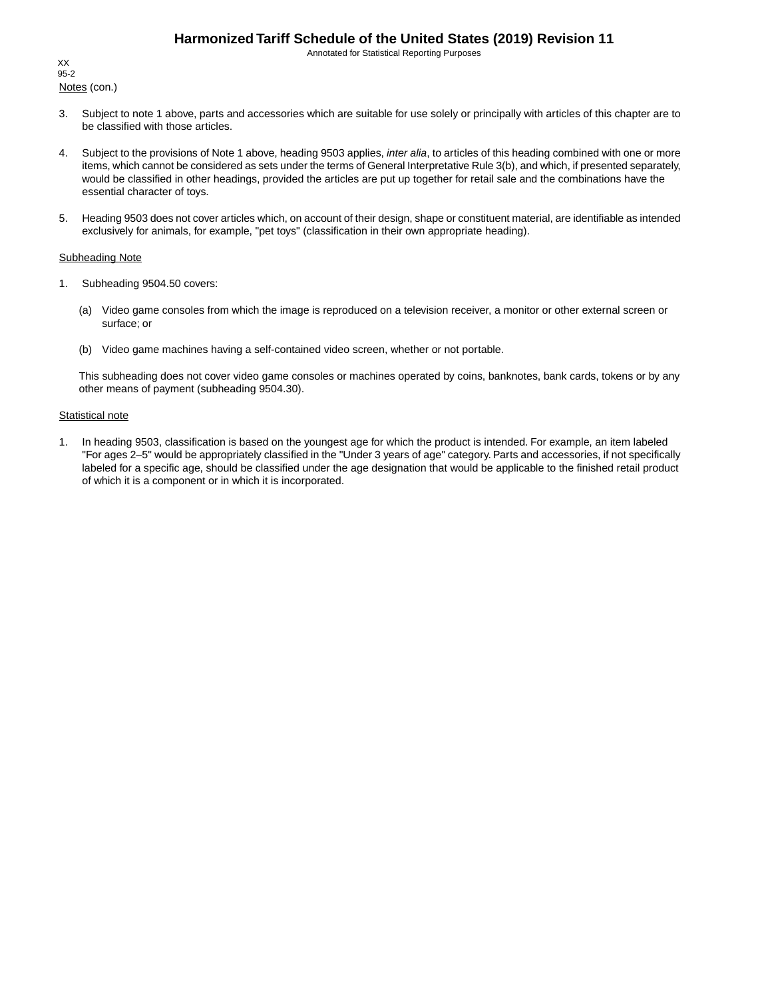Annotated for Statistical Reporting Purposes

Notes (con.) XX 95-2

- 3. Subject to note 1 above, parts and accessories which are suitable for use solely or principally with articles of this chapter are to be classified with those articles.
- 4. Subject to the provisions of Note 1 above, heading 9503 applies, *inter alia*, to articles of this heading combined with one or more items, which cannot be considered as sets under the terms of General Interpretative Rule 3(b), and which, if presented separately, would be classified in other headings, provided the articles are put up together for retail sale and the combinations have the essential character of toys.
- 5. Heading 9503 does not cover articles which, on account of their design, shape or constituent material, are identifiable as intended exclusively for animals, for example, "pet toys" (classification in their own appropriate heading).

#### Subheading Note

- 1. Subheading 9504.50 covers:
	- (a) Video game consoles from which the image is reproduced on a television receiver, a monitor or other external screen or surface; or
	- (b) Video game machines having a self-contained video screen, whether or not portable.

This subheading does not cover video game consoles or machines operated by coins, banknotes, bank cards, tokens or by any other means of payment (subheading 9504.30).

#### **Statistical note**

1. In heading 9503, classification is based on the youngest age for which the product is intended. For example, an item labeled "For ages 2–5" would be appropriately classified in the "Under 3 years of age" category. Parts and accessories, if not specifically labeled for a specific age, should be classified under the age designation that would be applicable to the finished retail product of which it is a component or in which it is incorporated.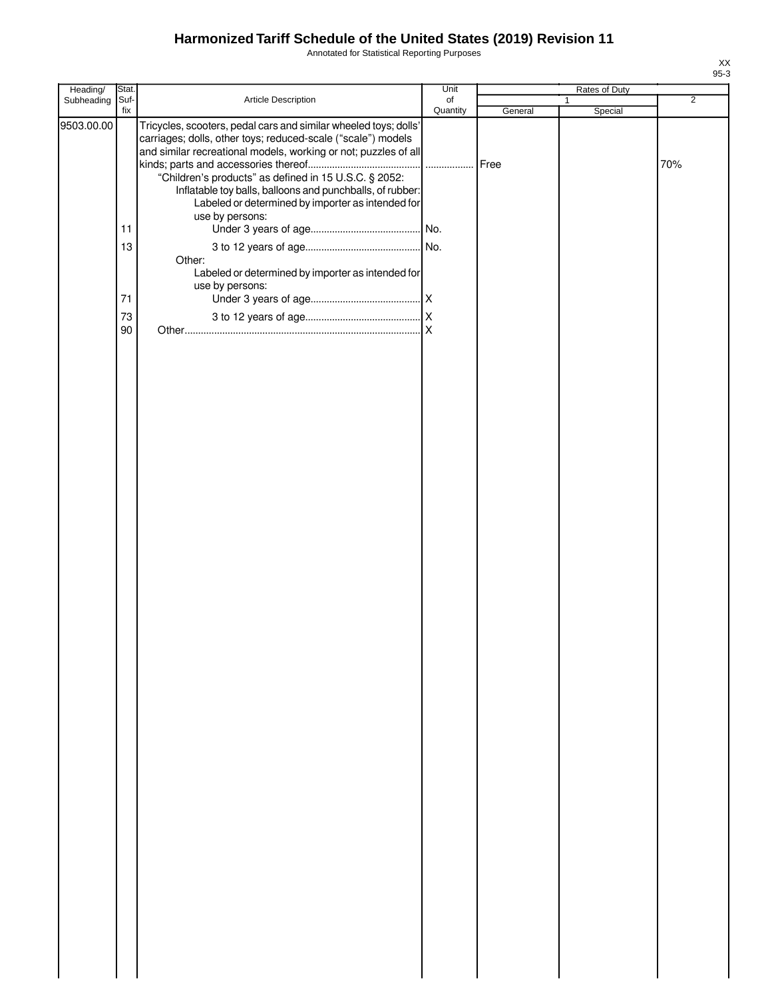Annotated for Statistical Reporting Purposes

| Heading/   | Stat.       |                                                                                                                                                                                                                                                                                                                                                                                | Unit           |         | Rates of Duty           |                |
|------------|-------------|--------------------------------------------------------------------------------------------------------------------------------------------------------------------------------------------------------------------------------------------------------------------------------------------------------------------------------------------------------------------------------|----------------|---------|-------------------------|----------------|
| Subheading | Suf-<br>fix | Article Description                                                                                                                                                                                                                                                                                                                                                            | of<br>Quantity | General | $\mathbf{1}$<br>Special | $\overline{2}$ |
| 9503.00.00 |             | Tricycles, scooters, pedal cars and similar wheeled toys; dolls'<br>carriages; dolls, other toys; reduced-scale ("scale") models<br>and similar recreational models, working or not; puzzles of all<br>"Children's products" as defined in 15 U.S.C. § 2052:<br>Inflatable toy balls, balloons and punchballs, of rubber:<br>Labeled or determined by importer as intended for |                | Free    |                         | 70%            |
|            |             | use by persons:                                                                                                                                                                                                                                                                                                                                                                |                |         |                         |                |
|            | 11          |                                                                                                                                                                                                                                                                                                                                                                                |                |         |                         |                |
|            | 13          | Other:<br>Labeled or determined by importer as intended for                                                                                                                                                                                                                                                                                                                    |                |         |                         |                |
|            | 71          | use by persons:                                                                                                                                                                                                                                                                                                                                                                |                |         |                         |                |
|            | 73          |                                                                                                                                                                                                                                                                                                                                                                                |                |         |                         |                |
|            | 90          |                                                                                                                                                                                                                                                                                                                                                                                |                |         |                         |                |
|            |             |                                                                                                                                                                                                                                                                                                                                                                                |                |         |                         |                |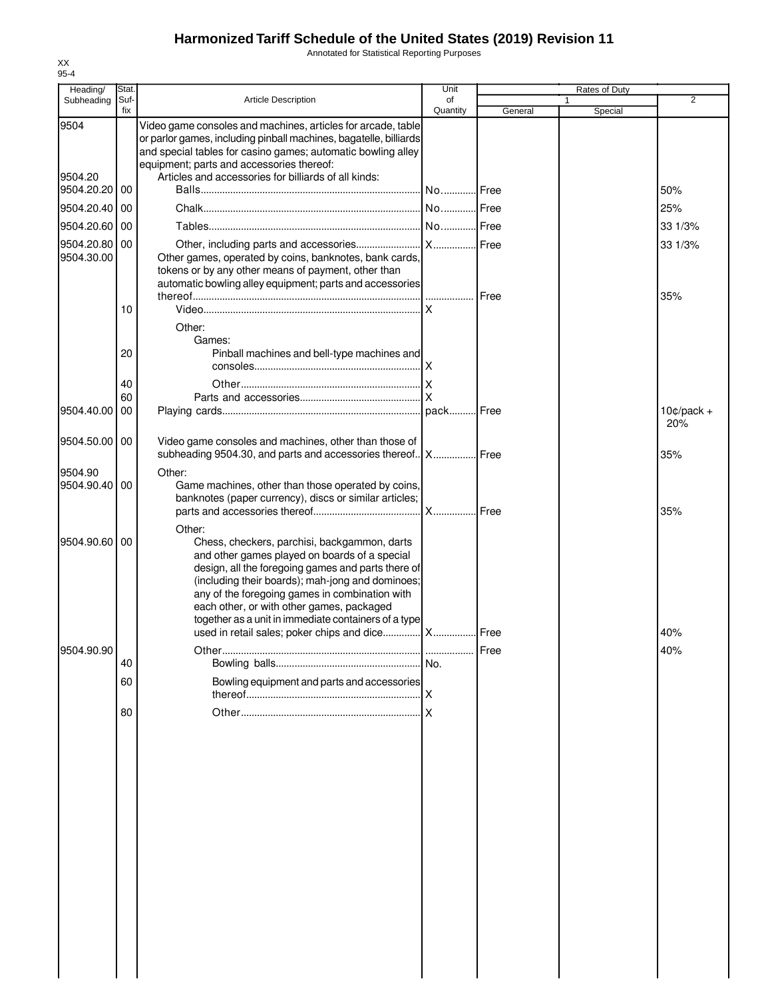Annotated for Statistical Reporting Purposes

| Heading/                 | Stat.       |                                                                                                                                                                                                                                                                                                                                                                          | Unit           |              | Rates of Duty |                     |
|--------------------------|-------------|--------------------------------------------------------------------------------------------------------------------------------------------------------------------------------------------------------------------------------------------------------------------------------------------------------------------------------------------------------------------------|----------------|--------------|---------------|---------------------|
| Subheading               | Suf-<br>fix | Article Description                                                                                                                                                                                                                                                                                                                                                      | of<br>Quantity | General      | 1<br>Special  | $\overline{2}$      |
| 9504<br>9504.20          |             | Video game consoles and machines, articles for arcade, table<br>or parlor games, including pinball machines, bagatelle, billiards<br>and special tables for casino games; automatic bowling alley<br>equipment; parts and accessories thereof:<br>Articles and accessories for billiards of all kinds:                                                                   |                |              |               |                     |
| 9504.20.20               | 00          |                                                                                                                                                                                                                                                                                                                                                                          |                |              |               | 50%                 |
| 9504.20.40               | 00          |                                                                                                                                                                                                                                                                                                                                                                          |                |              |               | 25%                 |
| 9504.20.60               | 00          |                                                                                                                                                                                                                                                                                                                                                                          |                |              |               | 33 1/3%             |
| 9504.20.80<br>9504.30.00 | 00          | Other games, operated by coins, banknotes, bank cards,<br>tokens or by any other means of payment, other than<br>automatic bowling alley equipment; parts and accessories                                                                                                                                                                                                |                |              |               | 33 1/3%<br>35%      |
|                          | 10          |                                                                                                                                                                                                                                                                                                                                                                          | $\mathsf{x}$   |              |               |                     |
|                          |             | Other:                                                                                                                                                                                                                                                                                                                                                                   |                |              |               |                     |
|                          | 20          | Games:<br>Pinball machines and bell-type machines and                                                                                                                                                                                                                                                                                                                    |                |              |               |                     |
|                          | 40          |                                                                                                                                                                                                                                                                                                                                                                          |                |              |               |                     |
|                          | 60          |                                                                                                                                                                                                                                                                                                                                                                          | .lx            |              |               |                     |
| 9504.40.00               | 00          |                                                                                                                                                                                                                                                                                                                                                                          |                |              |               | $10¢/pack +$<br>20% |
| 9504.50.00               | 00          | Video game consoles and machines, other than those of<br>subheading 9504.30, and parts and accessories thereof   X   Free                                                                                                                                                                                                                                                |                |              |               | 35%                 |
| 9504.90<br>9504.90.40    | 00          | Other:<br>Game machines, other than those operated by coins,<br>banknotes (paper currency), discs or similar articles;                                                                                                                                                                                                                                                   |                |              |               | 35%                 |
| 9504.90.60 00            |             | Other:<br>Chess, checkers, parchisi, backgammon, darts<br>and other games played on boards of a special<br>design, all the foregoing games and parts there of<br>(including their boards); mah-jong and dominoes;<br>any of the foregoing games in combination with<br>each other, or with other games, packaged<br>together as a unit in immediate containers of a type |                |              |               |                     |
|                          |             | used in retail sales; poker chips and dice  X  Free                                                                                                                                                                                                                                                                                                                      |                |              |               | 40%                 |
| 9504.90.90               |             |                                                                                                                                                                                                                                                                                                                                                                          |                | <b>IFree</b> |               | 40%                 |
|                          | 40          |                                                                                                                                                                                                                                                                                                                                                                          |                |              |               |                     |
|                          | 60          | Bowling equipment and parts and accessories                                                                                                                                                                                                                                                                                                                              |                |              |               |                     |
|                          |             |                                                                                                                                                                                                                                                                                                                                                                          |                |              |               |                     |
|                          | 80          |                                                                                                                                                                                                                                                                                                                                                                          |                |              |               |                     |
|                          |             |                                                                                                                                                                                                                                                                                                                                                                          |                |              |               |                     |
|                          |             |                                                                                                                                                                                                                                                                                                                                                                          |                |              |               |                     |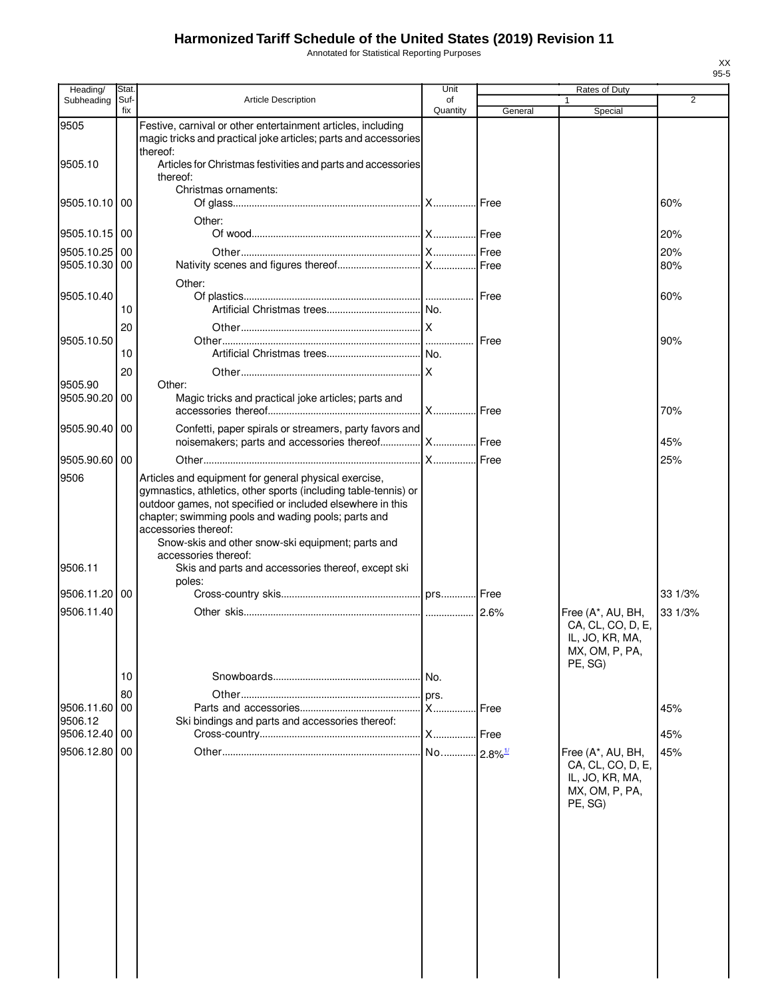Annotated for Statistical Reporting Purposes

| Heading/                 | Stat.       |                                                                                                                                                                                                                                                                                                                                                    | Unit                  |         | Rates of Duty                                                                          |                |
|--------------------------|-------------|----------------------------------------------------------------------------------------------------------------------------------------------------------------------------------------------------------------------------------------------------------------------------------------------------------------------------------------------------|-----------------------|---------|----------------------------------------------------------------------------------------|----------------|
| Subheading               | Suf-<br>fix | <b>Article Description</b>                                                                                                                                                                                                                                                                                                                         | of<br>Quantity        | General | Special                                                                                | $\overline{2}$ |
| 9505                     |             | Festive, carnival or other entertainment articles, including<br>magic tricks and practical joke articles; parts and accessories<br>thereof:                                                                                                                                                                                                        |                       |         |                                                                                        |                |
| 9505.10                  |             | Articles for Christmas festivities and parts and accessories<br>thereof:                                                                                                                                                                                                                                                                           |                       |         |                                                                                        |                |
| 9505.10.10 00            |             | Christmas ornaments:                                                                                                                                                                                                                                                                                                                               |                       |         |                                                                                        | 60%            |
| 9505.10.15 00            |             | Other:                                                                                                                                                                                                                                                                                                                                             |                       |         |                                                                                        | 20%            |
| 9505.10.25<br>9505.10.30 | 00<br>00    |                                                                                                                                                                                                                                                                                                                                                    |                       |         |                                                                                        | 20%<br>80%     |
| 9505.10.40               | 10          | Other:                                                                                                                                                                                                                                                                                                                                             |                       |         |                                                                                        | 60%            |
| 9505.10.50               | 20          |                                                                                                                                                                                                                                                                                                                                                    |                       | Free    |                                                                                        | 90%            |
|                          | 10<br>20    |                                                                                                                                                                                                                                                                                                                                                    |                       |         |                                                                                        |                |
| 9505.90<br>9505.90.20    | 00          | Other:<br>Magic tricks and practical joke articles; parts and                                                                                                                                                                                                                                                                                      |                       |         |                                                                                        | 70%            |
| 9505.90.40               | 00          | Confetti, paper spirals or streamers, party favors and<br>noisemakers; parts and accessories thereof  X  Free                                                                                                                                                                                                                                      |                       |         |                                                                                        | 45%            |
| 9505.90.60 00            |             |                                                                                                                                                                                                                                                                                                                                                    |                       |         |                                                                                        | 25%            |
| 9506                     |             | Articles and equipment for general physical exercise,<br>gymnastics, athletics, other sports (including table-tennis) or<br>outdoor games, not specified or included elsewhere in this<br>chapter; swimming pools and wading pools; parts and<br>accessories thereof:<br>Snow-skis and other snow-ski equipment; parts and<br>accessories thereof: |                       |         |                                                                                        |                |
| 9506.11                  |             | Skis and parts and accessories thereof, except ski<br>poles:                                                                                                                                                                                                                                                                                       |                       |         |                                                                                        |                |
| 9506.11.20 00            |             |                                                                                                                                                                                                                                                                                                                                                    |                       |         |                                                                                        | 33 1/3%        |
| 9506.11.40               |             |                                                                                                                                                                                                                                                                                                                                                    |                       |         | Free (A*, AU, BH,<br>CA, CL, CO, D, E,<br>IL, JO, KR, MA,<br>MX, OM, P, PA,<br>PE, SG) | 33 1/3%        |
|                          | 10          |                                                                                                                                                                                                                                                                                                                                                    | No.                   |         |                                                                                        |                |
| 9506.11.60               | 80<br>00    |                                                                                                                                                                                                                                                                                                                                                    | prs.<br><b>X</b> Free |         |                                                                                        | 45%            |
| 9506.12<br>9506.12.40    | 00          | Ski bindings and parts and accessories thereof:                                                                                                                                                                                                                                                                                                    | X                     | Free    |                                                                                        | 45%            |
| 9506.12.80               | 00          |                                                                                                                                                                                                                                                                                                                                                    |                       |         | Free (A*, AU, BH,<br>CA, CL, CO, D, E,<br>IL, JO, KR, MA,<br>MX, OM, P, PA,<br>PE, SG) | 45%            |
|                          |             |                                                                                                                                                                                                                                                                                                                                                    |                       |         |                                                                                        |                |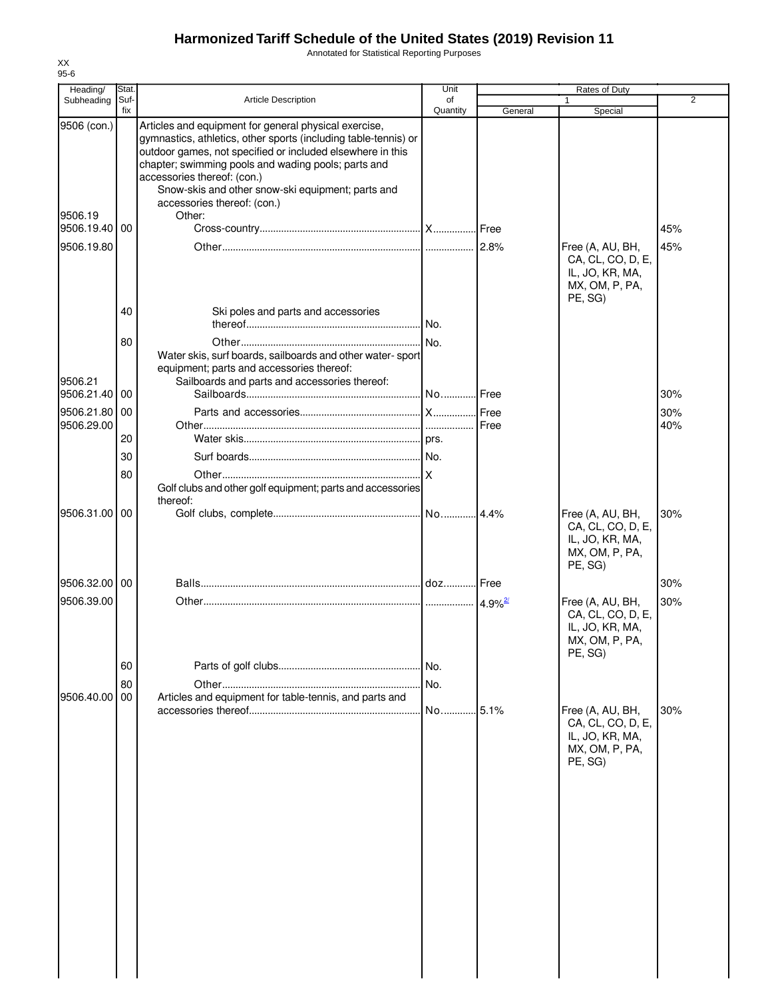Annotated for Statistical Reporting Purposes

| Heading/                                              | Stat.       |                                                                                                                                                                                                                                                                                                                                                                            | Unit           |         | Rates of Duty                                                                         |                |
|-------------------------------------------------------|-------------|----------------------------------------------------------------------------------------------------------------------------------------------------------------------------------------------------------------------------------------------------------------------------------------------------------------------------------------------------------------------------|----------------|---------|---------------------------------------------------------------------------------------|----------------|
| Subheading                                            | Suf-<br>fix | <b>Article Description</b>                                                                                                                                                                                                                                                                                                                                                 | of<br>Quantity | General | 1<br>Special                                                                          | $\overline{2}$ |
| 9506 (con.)<br>9506.19<br>9506.19.40 00<br>9506.19.80 |             | Articles and equipment for general physical exercise,<br>gymnastics, athletics, other sports (including table-tennis) or<br>outdoor games, not specified or included elsewhere in this<br>chapter; swimming pools and wading pools; parts and<br>accessories thereof: (con.)<br>Snow-skis and other snow-ski equipment; parts and<br>accessories thereof: (con.)<br>Other: |                |         | Free (A, AU, BH,                                                                      | 45%<br>45%     |
|                                                       | 40          | Ski poles and parts and accessories                                                                                                                                                                                                                                                                                                                                        |                |         | CA, CL, CO, D, E,<br>IL, JO, KR, MA,<br>MX, OM, P, PA,<br>PE, SG)                     |                |
|                                                       |             |                                                                                                                                                                                                                                                                                                                                                                            | No.            |         |                                                                                       |                |
| 9506.21                                               | 80          | Water skis, surf boards, sailboards and other water-sport<br>equipment; parts and accessories thereof:<br>Sailboards and parts and accessories thereof:                                                                                                                                                                                                                    |                |         |                                                                                       |                |
| 9506.21.40 00                                         |             |                                                                                                                                                                                                                                                                                                                                                                            |                |         |                                                                                       | 30%            |
| 9506.21.80 00<br>9506.29.00                           |             |                                                                                                                                                                                                                                                                                                                                                                            |                |         |                                                                                       | 30%<br>40%     |
|                                                       | 20          |                                                                                                                                                                                                                                                                                                                                                                            |                |         |                                                                                       |                |
|                                                       | 30          |                                                                                                                                                                                                                                                                                                                                                                            |                |         |                                                                                       |                |
|                                                       | 80          | Golf clubs and other golf equipment; parts and accessories<br>thereof:                                                                                                                                                                                                                                                                                                     |                |         |                                                                                       |                |
| 9506.31.00 00                                         |             |                                                                                                                                                                                                                                                                                                                                                                            | No 4.4%        |         | Free (A, AU, BH,<br>CA, CL, CO, D, E,<br>IL, JO, KR, MA,<br>MX, OM, P, PA,<br>PE, SG) | 30%            |
| 9506.32.00 00                                         |             |                                                                                                                                                                                                                                                                                                                                                                            |                |         |                                                                                       | 30%            |
| 9506.39.00                                            |             |                                                                                                                                                                                                                                                                                                                                                                            |                |         | Free (A, AU, BH,<br>CA, CL, CO, D, E,<br>IL, JO, KR, MA,<br>MX, OM, P, PA,<br>PE, SG) | 30%            |
|                                                       | 60          |                                                                                                                                                                                                                                                                                                                                                                            | No.            |         |                                                                                       |                |
| 9506.40.00                                            | 80<br>00    | Articles and equipment for table-tennis, and parts and                                                                                                                                                                                                                                                                                                                     | No.            |         |                                                                                       |                |
|                                                       |             |                                                                                                                                                                                                                                                                                                                                                                            | No             | .5.1%   | Free (A, AU, BH,<br>CA, CL, CO, D, E,<br>IL, JO, KR, MA,<br>MX, OM, P, PA,<br>PE, SG) | 30%            |
|                                                       |             |                                                                                                                                                                                                                                                                                                                                                                            |                |         |                                                                                       |                |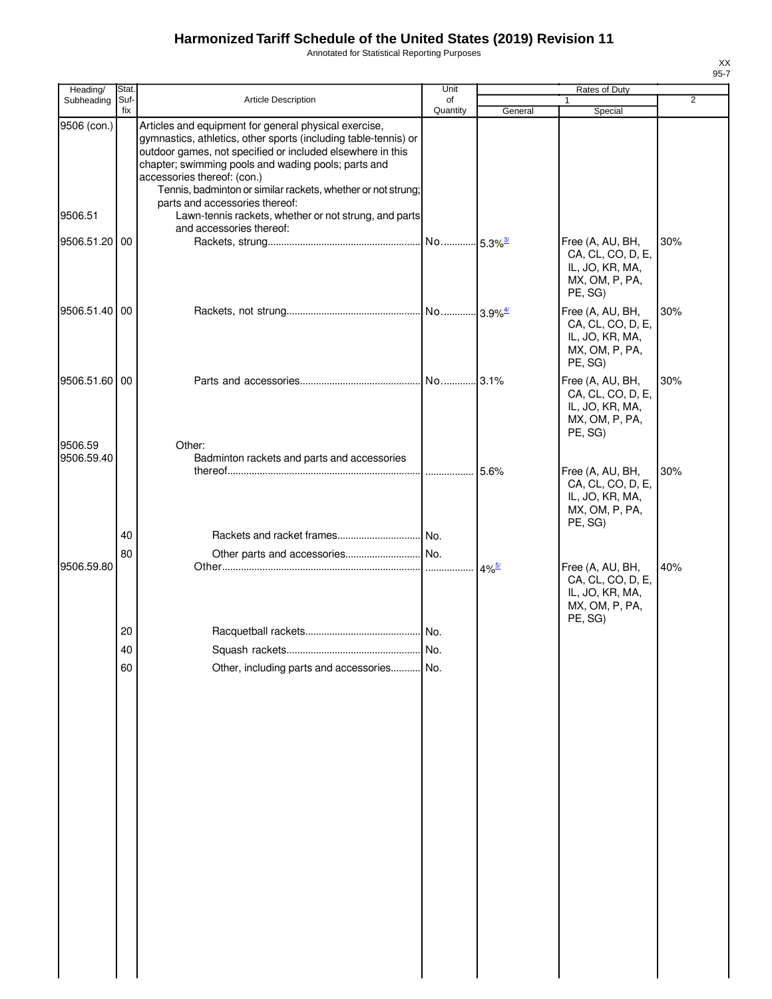Annotated for Statistical Reporting Purposes

| Heading/               | Stat.       |                                                                                                                                                                                                                                                                                                                                                                                                                                         | Unit           |         | Rates of Duty                                                                         |                |
|------------------------|-------------|-----------------------------------------------------------------------------------------------------------------------------------------------------------------------------------------------------------------------------------------------------------------------------------------------------------------------------------------------------------------------------------------------------------------------------------------|----------------|---------|---------------------------------------------------------------------------------------|----------------|
| Subheading             | Suf-<br>fix | Article Description                                                                                                                                                                                                                                                                                                                                                                                                                     | οf<br>Quantity | General | $\mathbf{1}$<br>Special                                                               | $\overline{2}$ |
| 9506 (con.)<br>9506.51 |             | Articles and equipment for general physical exercise,<br>gymnastics, athletics, other sports (including table-tennis) or<br>outdoor games, not specified or included elsewhere in this<br>chapter; swimming pools and wading pools; parts and<br>accessories thereof: (con.)<br>Tennis, badminton or similar rackets, whether or not strung;<br>parts and accessories thereof:<br>Lawn-tennis rackets, whether or not strung, and parts |                |         |                                                                                       |                |
| 9506.51.20 00          |             | and accessories thereof:                                                                                                                                                                                                                                                                                                                                                                                                                |                |         | Free (A, AU, BH,                                                                      | 30%            |
|                        |             |                                                                                                                                                                                                                                                                                                                                                                                                                                         |                |         | CA, CL, CO, D, E,<br>IL, JO, KR, MA,<br>MX, OM, P, PA,<br>PE, SG)                     |                |
| 9506.51.40 00          |             |                                                                                                                                                                                                                                                                                                                                                                                                                                         |                |         | Free (A, AU, BH,<br>CA, CL, CO, D, E,<br>IL, JO, KR, MA,<br>MX, OM, P, PA,<br>PE, SG) | 30%            |
| 9506.51.60 00          |             |                                                                                                                                                                                                                                                                                                                                                                                                                                         |                |         | Free (A, AU, BH,<br>CA, CL, CO, D, E,<br>IL, JO, KR, MA,<br>MX, OM, P, PA,<br>PE, SG) | 30%            |
| 9506.59                |             | Other:                                                                                                                                                                                                                                                                                                                                                                                                                                  |                |         |                                                                                       |                |
| 9506.59.40             |             | Badminton rackets and parts and accessories                                                                                                                                                                                                                                                                                                                                                                                             |                | 5.6%    | Free (A, AU, BH,<br>CA, CL, CO, D, E,<br>IL, JO, KR, MA,<br>MX, OM, P, PA,<br>PE, SG) | 30%            |
|                        | 40          |                                                                                                                                                                                                                                                                                                                                                                                                                                         |                |         |                                                                                       |                |
|                        | 80          |                                                                                                                                                                                                                                                                                                                                                                                                                                         |                |         |                                                                                       |                |
| 9506.59.80             |             |                                                                                                                                                                                                                                                                                                                                                                                                                                         |                |         | Free (A, AU, BH,<br>CA, CL, CO, D, E,<br>IL, JO, KR, MA,<br>MX, OM, P, PA,<br>PE, SG) | 40%            |
|                        | 20          |                                                                                                                                                                                                                                                                                                                                                                                                                                         |                |         |                                                                                       |                |
|                        | 40          |                                                                                                                                                                                                                                                                                                                                                                                                                                         |                |         |                                                                                       |                |
|                        | 60          | Other, including parts and accessories No.                                                                                                                                                                                                                                                                                                                                                                                              |                |         |                                                                                       |                |
|                        |             |                                                                                                                                                                                                                                                                                                                                                                                                                                         |                |         |                                                                                       |                |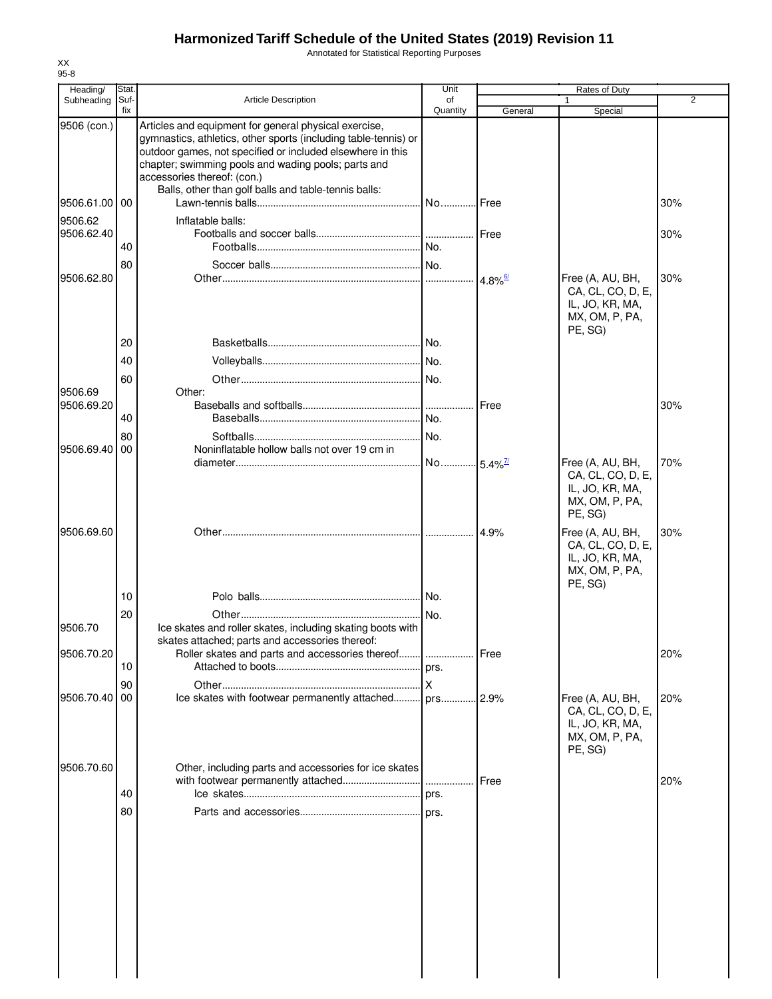Annotated for Statistical Reporting Purposes

| Heading/                            | Stat.          |                                                                                                                                                                                                                                                                                                                                      | Unit                   |                               | <b>Rates of Duty</b>                                                                  |                |
|-------------------------------------|----------------|--------------------------------------------------------------------------------------------------------------------------------------------------------------------------------------------------------------------------------------------------------------------------------------------------------------------------------------|------------------------|-------------------------------|---------------------------------------------------------------------------------------|----------------|
| Subheading                          | Suf-<br>fix    | <b>Article Description</b>                                                                                                                                                                                                                                                                                                           | of<br>Quantity         |                               |                                                                                       | $\overline{2}$ |
| 9506 (con.)                         |                | Articles and equipment for general physical exercise,<br>gymnastics, athletics, other sports (including table-tennis) or<br>outdoor games, not specified or included elsewhere in this<br>chapter; swimming pools and wading pools; parts and<br>accessories thereof: (con.)<br>Balls, other than golf balls and table-tennis balls: |                        | General                       | Special                                                                               |                |
| 9506.61.00 00                       |                |                                                                                                                                                                                                                                                                                                                                      | . No…………I Free         |                               |                                                                                       | 30%            |
| 9506.62<br>9506.62.40<br>9506.62.80 | 40<br>80       | Inflatable balls:                                                                                                                                                                                                                                                                                                                    |                        | Free<br>$4.8\%$ <sup>6/</sup> | Free (A, AU, BH,<br>CA, CL, CO, D, E,                                                 | 30%<br>30%     |
|                                     | 20<br>40<br>60 |                                                                                                                                                                                                                                                                                                                                      |                        |                               | IL, JO, KR, MA,<br>MX, OM, P, PA,<br>PE, SG)                                          |                |
| 9506.69                             |                | Other:                                                                                                                                                                                                                                                                                                                               |                        |                               |                                                                                       |                |
| 9506.69.20                          | 40<br>80       |                                                                                                                                                                                                                                                                                                                                      |                        | Free                          |                                                                                       | 30%            |
| 9506.69.40                          | 00             | Noninflatable hollow balls not over 19 cm in                                                                                                                                                                                                                                                                                         |                        |                               |                                                                                       |                |
|                                     |                |                                                                                                                                                                                                                                                                                                                                      | No 5.4% <sup>7/1</sup> |                               | Free (A, AU, BH,<br>CA, CL, CO, D, E,<br>IL, JO, KR, MA,<br>MX, OM, P, PA,<br>PE, SG) | 70%            |
| 9506.69.60                          | 10             |                                                                                                                                                                                                                                                                                                                                      |                        | 4.9%                          | Free (A, AU, BH,<br>CA, CL, CO, D, E,<br>IL, JO, KR, MA,<br>MX, OM, P, PA,<br>PE, SG) | 30%            |
|                                     |                |                                                                                                                                                                                                                                                                                                                                      |                        |                               |                                                                                       |                |
| 9506.70                             | 20             | Ice skates and roller skates, including skating boots with<br>skates attached; parts and accessories thereof:                                                                                                                                                                                                                        |                        |                               |                                                                                       |                |
| 9506.70.20                          |                | Roller skates and parts and accessories thereof                                                                                                                                                                                                                                                                                      |                        | Free                          |                                                                                       | 20%            |
|                                     | 10             |                                                                                                                                                                                                                                                                                                                                      |                        |                               |                                                                                       |                |
| 9506.70.40                          | 90<br>00       |                                                                                                                                                                                                                                                                                                                                      |                        |                               | Free (A, AU, BH,<br>CA, CL, CO, D, E,<br>IL, JO, KR, MA,<br>MX, OM, P, PA,<br>PE, SG) | 20%            |
| 9506.70.60                          | 40             | Other, including parts and accessories for ice skates<br>with footwear permanently attached                                                                                                                                                                                                                                          |                        | Free                          |                                                                                       | 20%            |
|                                     | 80             |                                                                                                                                                                                                                                                                                                                                      |                        |                               |                                                                                       |                |
|                                     |                |                                                                                                                                                                                                                                                                                                                                      |                        |                               |                                                                                       |                |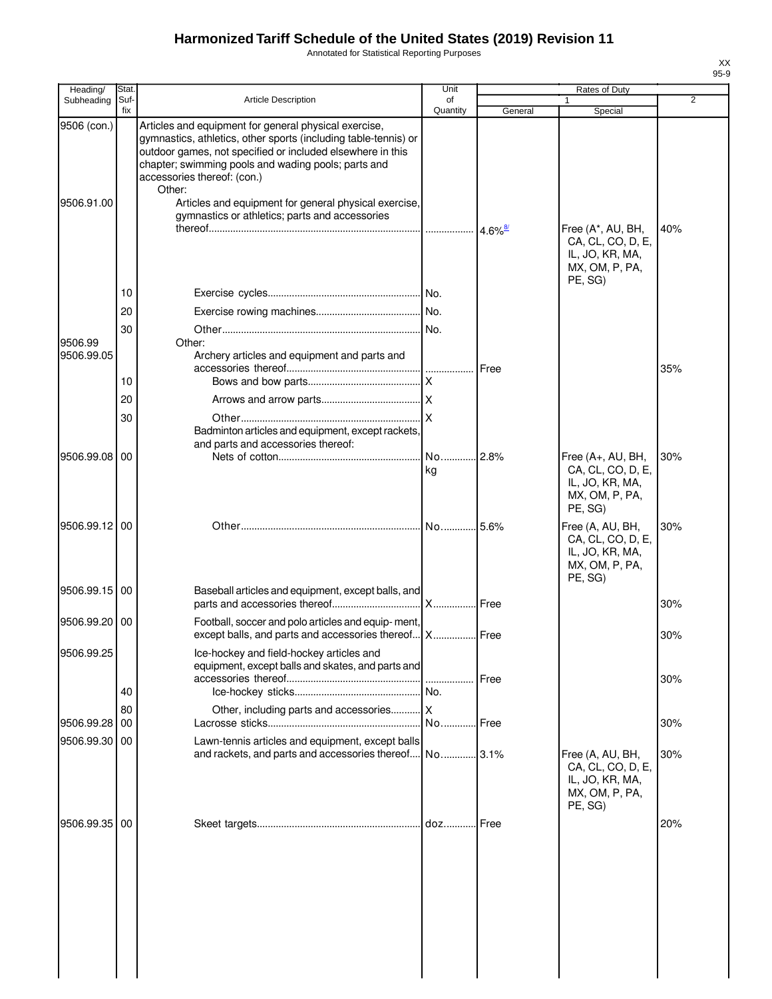Annotated for Statistical Reporting Purposes

| Heading/                  | Stat.          |                                                                                                                                                                                                                                                                                                                                                                                                   | Unit           |             | Rates of Duty                                                                         |                |
|---------------------------|----------------|---------------------------------------------------------------------------------------------------------------------------------------------------------------------------------------------------------------------------------------------------------------------------------------------------------------------------------------------------------------------------------------------------|----------------|-------------|---------------------------------------------------------------------------------------|----------------|
| Subheading                | Suf-<br>fix    | Article Description                                                                                                                                                                                                                                                                                                                                                                               | of<br>Quantity | General     | 1<br>Special                                                                          | $\overline{2}$ |
| 9506 (con.)<br>9506.91.00 |                | Articles and equipment for general physical exercise,<br>gymnastics, athletics, other sports (including table-tennis) or<br>outdoor games, not specified or included elsewhere in this<br>chapter; swimming pools and wading pools; parts and<br>accessories thereof: (con.)<br>Other:<br>Articles and equipment for general physical exercise,<br>gymnastics or athletics; parts and accessories |                | $4.6\%$     | Free (A*, AU, BH,<br>CA, CL, CO, D, E,<br>IL, JO, KR, MA,                             | 40%            |
| 9506.99<br>9506.99.05     | 10<br>20<br>30 | Other:<br>Archery articles and equipment and parts and                                                                                                                                                                                                                                                                                                                                            |                |             | MX, OM, P, PA,<br>PE, SG)                                                             |                |
|                           | 10             |                                                                                                                                                                                                                                                                                                                                                                                                   |                | Free        |                                                                                       | 35%            |
|                           | 20             |                                                                                                                                                                                                                                                                                                                                                                                                   |                |             |                                                                                       |                |
| 9506.99.08                | 30<br>00       | Badminton articles and equipment, except rackets,<br>and parts and accessories thereof:                                                                                                                                                                                                                                                                                                           |                |             | Free (A+, AU, BH,                                                                     | 30%            |
|                           |                |                                                                                                                                                                                                                                                                                                                                                                                                   | kg             |             | CA, CL, CO, D, E,<br>IL, JO, KR, MA,<br>MX, OM, P, PA,<br>PE, SG)                     |                |
| 9506.99.12 00             |                |                                                                                                                                                                                                                                                                                                                                                                                                   | No 5.6%        |             | Free (A, AU, BH,<br>CA, CL, CO, D, E,<br>IL, JO, KR, MA,<br>MX, OM, P, PA,<br>PE, SG) | 30%            |
| 9506.99.15 00             |                | Baseball articles and equipment, except balls, and                                                                                                                                                                                                                                                                                                                                                | X              | <b>Free</b> |                                                                                       | 30%            |
| 9506.99.20 00             |                | Football, soccer and polo articles and equip-ment,<br>except balls, and parts and accessories thereof X Free                                                                                                                                                                                                                                                                                      |                |             |                                                                                       | 30%            |
| 9506.99.25                | 40             | Ice-hockey and field-hockey articles and<br>equipment, except balls and skates, and parts and                                                                                                                                                                                                                                                                                                     |                | Free        |                                                                                       | 30%            |
|                           | 80             | Other, including parts and accessories X                                                                                                                                                                                                                                                                                                                                                          |                |             |                                                                                       |                |
| 9506.99.28<br>9506.99.30  | 00<br>00       | Lawn-tennis articles and equipment, except balls                                                                                                                                                                                                                                                                                                                                                  | No             | Free        |                                                                                       | 30%            |
|                           |                | and rackets, and parts and accessories thereof                                                                                                                                                                                                                                                                                                                                                    | No 3.1%        |             | Free (A, AU, BH,<br>CA, CL, CO, D, E,<br>IL, JO, KR, MA,<br>MX, OM, P, PA,<br>PE, SG) | 30%            |
| 9506.99.35                | 00             |                                                                                                                                                                                                                                                                                                                                                                                                   | $doz$          | Free        |                                                                                       | 20%            |
|                           |                |                                                                                                                                                                                                                                                                                                                                                                                                   |                |             |                                                                                       |                |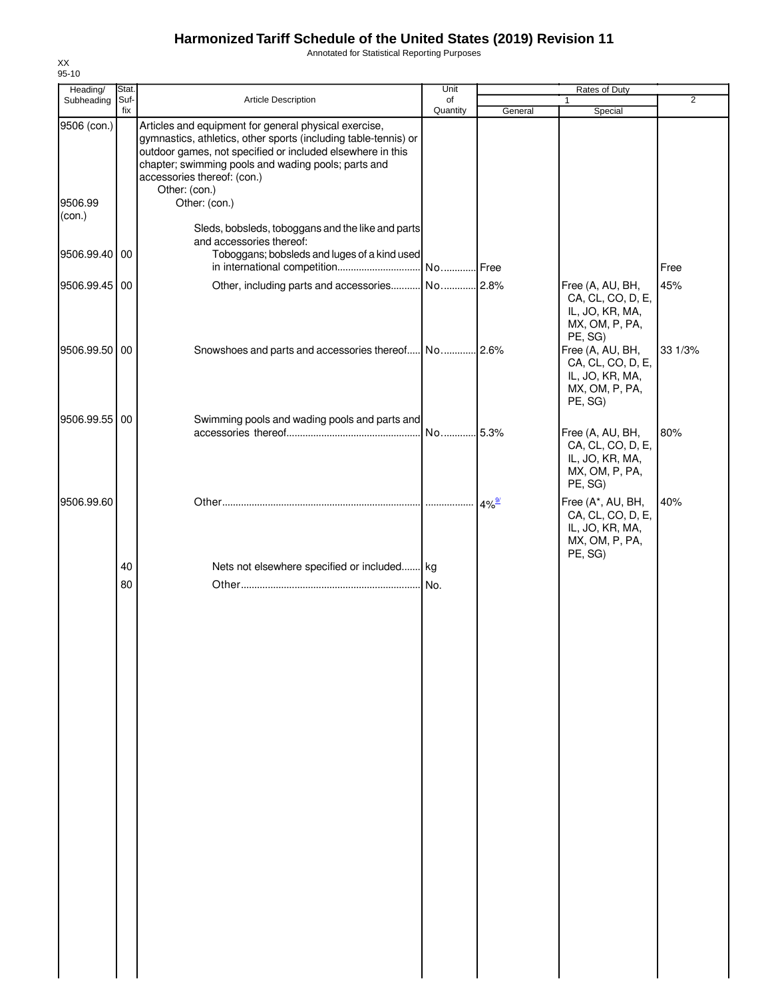Annotated for Statistical Reporting Purposes

| Heading/          | Stat.       |                                                                                                                                                                                                                                                                                               | Unit           |                     | Rates of Duty                                                                          |                |
|-------------------|-------------|-----------------------------------------------------------------------------------------------------------------------------------------------------------------------------------------------------------------------------------------------------------------------------------------------|----------------|---------------------|----------------------------------------------------------------------------------------|----------------|
| Subheading        | Suf-<br>fix | <b>Article Description</b>                                                                                                                                                                                                                                                                    | of<br>Quantity | General             | $\mathbf{1}$<br>Special                                                                | $\overline{2}$ |
| 9506 (con.)       |             | Articles and equipment for general physical exercise,<br>gymnastics, athletics, other sports (including table-tennis) or<br>outdoor games, not specified or included elsewhere in this<br>chapter; swimming pools and wading pools; parts and<br>accessories thereof: (con.)<br>Other: (con.) |                |                     |                                                                                        |                |
| 9506.99<br>(con.) |             | Other: (con.)<br>Sleds, bobsleds, toboggans and the like and parts<br>and accessories thereof:                                                                                                                                                                                                |                |                     |                                                                                        |                |
| 9506.99.40 00     |             | Toboggans; bobsleds and luges of a kind used                                                                                                                                                                                                                                                  |                |                     |                                                                                        | Free           |
| 9506.99.45 00     |             |                                                                                                                                                                                                                                                                                               |                |                     | Free (A, AU, BH,<br>CA, CL, CO, D, E,<br>IL, JO, KR, MA,<br>MX, OM, P, PA,<br>PE, SG)  | 45%            |
| 9506.99.50 00     |             |                                                                                                                                                                                                                                                                                               |                |                     | Free (A, AU, BH,<br>CA, CL, CO, D, E,<br>IL, JO, KR, MA,<br>MX, OM, P, PA,<br>PE, SG)  | 33 1/3%        |
| 9506.99.55 00     |             | Swimming pools and wading pools and parts and                                                                                                                                                                                                                                                 |                |                     |                                                                                        |                |
|                   |             |                                                                                                                                                                                                                                                                                               |                |                     | Free (A, AU, BH,<br>CA, CL, CO, D, E,<br>IL, JO, KR, MA,<br>MX, OM, P, PA,<br>PE, SG)  | 80%            |
| 9506.99.60        |             |                                                                                                                                                                                                                                                                                               |                | $4\%$ <sup>9/</sup> | Free (A*, AU, BH,<br>CA, CL, CO, D, E,<br>IL, JO, KR, MA,<br>MX, OM, P, PA,<br>PE, SG) | 40%            |
|                   | 40          | Nets not elsewhere specified or included kg                                                                                                                                                                                                                                                   |                |                     |                                                                                        |                |
|                   | 80          |                                                                                                                                                                                                                                                                                               |                |                     |                                                                                        |                |
|                   |             |                                                                                                                                                                                                                                                                                               |                |                     |                                                                                        |                |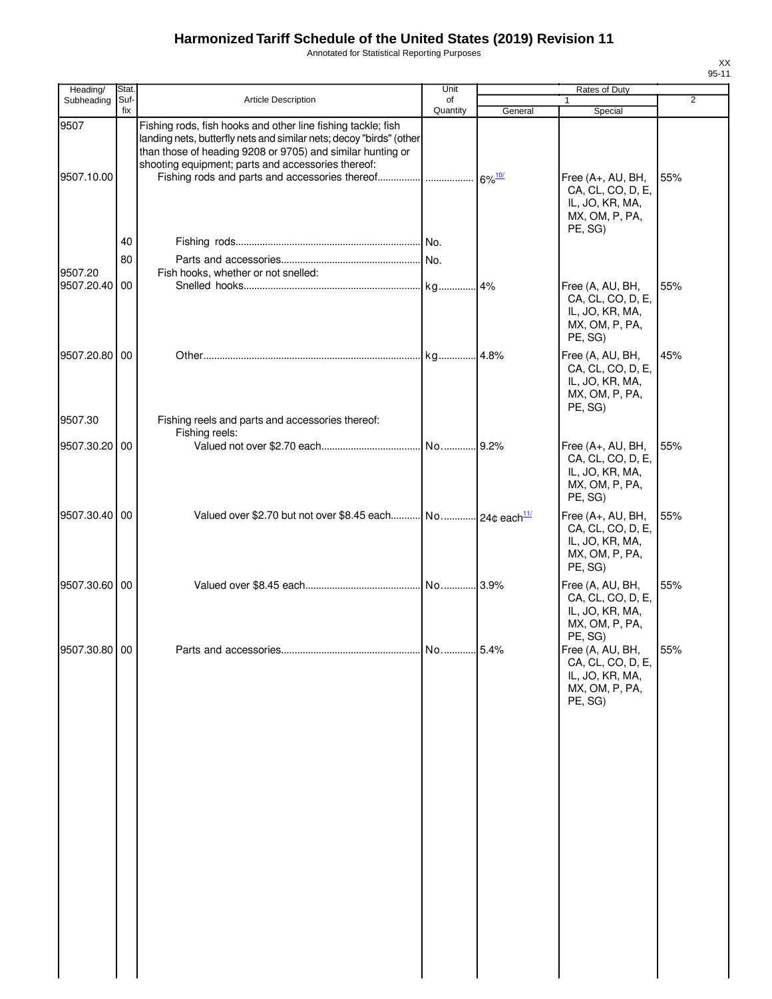Annotated for Statistical Reporting Purposes

| Heading/           | Stat.       |                                                                                                                                                                                                                                                         | Unit           |         | Rates of Duty                                                                          |                |
|--------------------|-------------|---------------------------------------------------------------------------------------------------------------------------------------------------------------------------------------------------------------------------------------------------------|----------------|---------|----------------------------------------------------------------------------------------|----------------|
| Subheading         | Suf-<br>fix | <b>Article Description</b>                                                                                                                                                                                                                              | of<br>Quantity | General | Special                                                                                | $\overline{2}$ |
| 9507<br>9507.10.00 |             | Fishing rods, fish hooks and other line fishing tackle; fish<br>landing nets, butterfly nets and similar nets; decoy "birds" (other<br>than those of heading 9208 or 9705) and similar hunting or<br>shooting equipment; parts and accessories thereof: |                |         | Free (A+, AU, BH,<br>CA, CL, CO, D, E,<br>IL, JO, KR, MA,                              | 55%            |
|                    |             |                                                                                                                                                                                                                                                         |                |         | MX, OM, P, PA,                                                                         |                |
|                    | 40          |                                                                                                                                                                                                                                                         |                |         | PE, SG)                                                                                |                |
|                    | 80          |                                                                                                                                                                                                                                                         |                |         |                                                                                        |                |
| 9507.20            |             | Fish hooks, whether or not snelled:                                                                                                                                                                                                                     |                |         |                                                                                        |                |
| 9507.20.40 00      |             |                                                                                                                                                                                                                                                         |                |         | Free (A, AU, BH,<br>CA, CL, CO, D, E,<br>IL, JO, KR, MA,<br>MX, OM, P, PA,<br>PE, SG)  | 55%            |
| 9507.20.80 00      |             |                                                                                                                                                                                                                                                         |                |         | Free (A, AU, BH,<br>CA, CL, CO, D, E,<br>IL, JO, KR, MA,<br>MX, OM, P, PA,<br>PE, SG)  | 45%            |
| 9507.30            |             | Fishing reels and parts and accessories thereof:<br>Fishing reels:                                                                                                                                                                                      |                |         |                                                                                        |                |
| 9507.30.20 00      |             |                                                                                                                                                                                                                                                         |                |         | Free (A+, AU, BH,<br>CA, CL, CO, D, E,<br>IL, JO, KR, MA,<br>MX, OM, P, PA,<br>PE, SG) | 55%            |
| 9507.30.40 00      |             | Valued over \$2.70 but not over \$8.45 each No 24¢ each <sup>11/</sup>                                                                                                                                                                                  |                |         | Free (A+, AU, BH,<br>CA, CL, CO, D, E,<br>IL, JO, KR, MA,<br>MX, OM, P, PA,<br>PE, SG) | 55%            |
| 9507.30.60 00      |             |                                                                                                                                                                                                                                                         |                |         | Free (A, AU, BH,<br>CA, CL, CO, D, E,<br>IL, JO, KR, MA,<br>MX, OM, P, PA,<br>PE, SG)  | 55%            |
| 9507.30.80 00      |             |                                                                                                                                                                                                                                                         |                |         | Free (A, AU, BH,<br>CA, CL, CO, D, E,<br>IL, JO, KR, MA,<br>MX, OM, P, PA,<br>PE, SG)  | 55%            |
|                    |             |                                                                                                                                                                                                                                                         |                |         |                                                                                        |                |
|                    |             |                                                                                                                                                                                                                                                         |                |         |                                                                                        |                |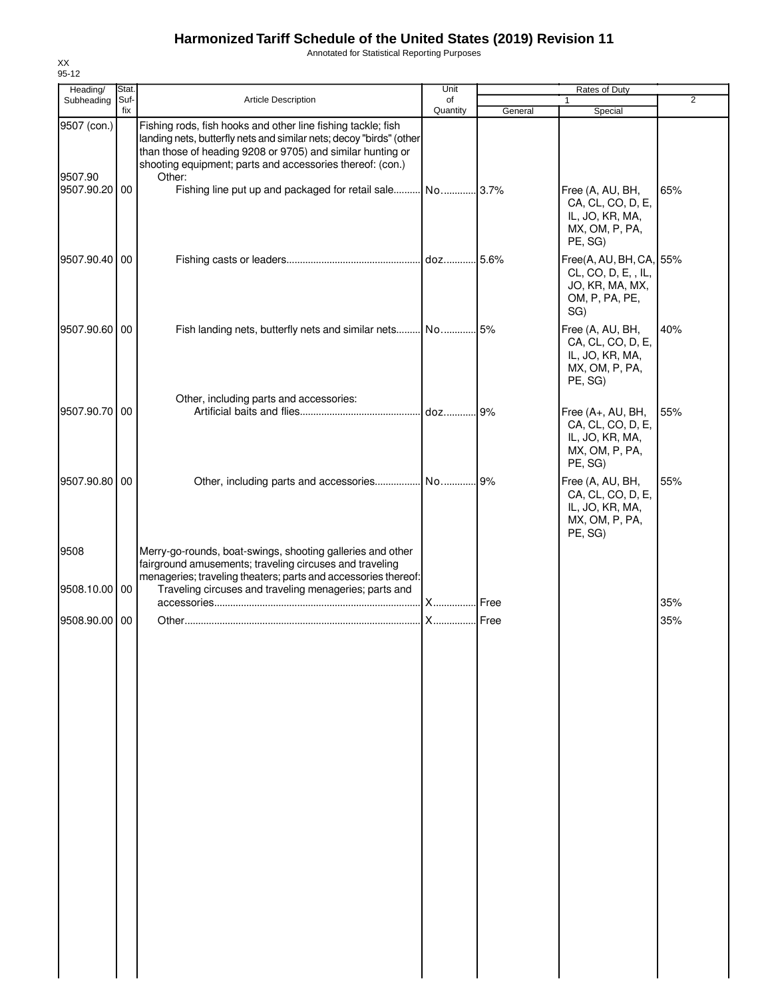Annotated for Statistical Reporting Purposes

| Heading/                 | Stat. |                                                                                                                                                                                                                                                                      | Unit          |         | Rates of Duty                                                                              |                |
|--------------------------|-------|----------------------------------------------------------------------------------------------------------------------------------------------------------------------------------------------------------------------------------------------------------------------|---------------|---------|--------------------------------------------------------------------------------------------|----------------|
| Subheading               | Suf-  | <b>Article Description</b>                                                                                                                                                                                                                                           | of            |         | $\mathbf{1}$                                                                               | $\overline{2}$ |
| 9507 (con.)              | fix   | Fishing rods, fish hooks and other line fishing tackle; fish                                                                                                                                                                                                         | Quantity      | General | Special                                                                                    |                |
| 9507.90<br>9507.90.20 00 |       | landing nets, butterfly nets and similar nets; decoy "birds" (other<br>than those of heading 9208 or 9705) and similar hunting or<br>shooting equipment; parts and accessories thereof: (con.)<br>Other:<br>Fishing line put up and packaged for retail sale No 3.7% |               |         | Free (A, AU, BH,<br>CA, CL, CO, D, E,<br>IL, JO, KR, MA,<br>MX, OM, P, PA,<br>PE, SG)      | 65%            |
| 9507.90.40 00            |       |                                                                                                                                                                                                                                                                      |               |         | Free(A, AU, BH, CA, 55%<br>CL, CO, D, E, , IL,<br>JO, KR, MA, MX,<br>OM, P, PA, PE,<br>SG) |                |
| 9507.90.60 00            |       | Fish landing nets, butterfly nets and similar nets No 5%                                                                                                                                                                                                             |               |         | Free (A, AU, BH,<br>CA, CL, CO, D, E,<br>IL, JO, KR, MA,<br>MX, OM, P, PA,<br>PE, SG)      | 40%            |
| 9507.90.70 00            |       | Other, including parts and accessories:                                                                                                                                                                                                                              |               |         | Free (A+, AU, BH,<br>CA, CL, CO, D, E,<br>IL, JO, KR, MA,<br>MX, OM, P, PA,<br>PE, SG)     | 55%            |
| 9507.90.80 00            |       | Other, including parts and accessories No 9%                                                                                                                                                                                                                         |               |         | Free (A, AU, BH,<br>CA, CL, CO, D, E,<br>IL, JO, KR, MA,<br>MX, OM, P, PA,<br>PE, SG)      | 55%            |
| 9508<br>9508.10.00 00    |       | Merry-go-rounds, boat-swings, shooting galleries and other<br>fairground amusements; traveling circuses and traveling<br>menageries; traveling theaters; parts and accessories thereof:<br>Traveling circuses and traveling menageries; parts and                    |               |         |                                                                                            |                |
|                          |       |                                                                                                                                                                                                                                                                      | X             | Free    |                                                                                            | 35%            |
| 9508.90.00 00            |       |                                                                                                                                                                                                                                                                      | <b>X</b> Free |         |                                                                                            | 35%            |
|                          |       |                                                                                                                                                                                                                                                                      |               |         |                                                                                            |                |